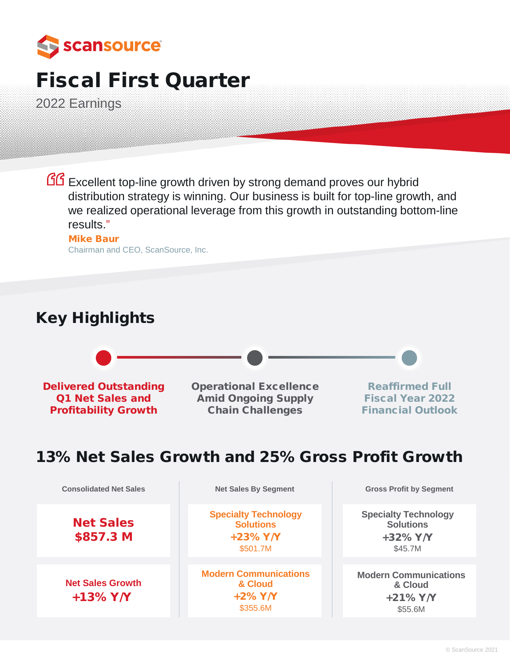

# Fiscal First Quarter

2022 Earnings

GG Excellent top-line growth driven by strong demand proves our hybrid distribution strategy is winning. Our business is built for top-line growth, and we realized operational leverage from this growth in outstanding bottom-line results."

### Mike Baur Chairman and CEO, ScanSource, Inc.

# Key Highlights



# 13% Net Sales Growth and 25% Gross Profit Growth

Net Sales \$857.3 M

**Net Sales Growth** +13% Y/Y

**Specialty Technology Solutions** +23% Y/Y \$501.7M

**Modern Communications & Cloud** +2% Y/Y \$355.6M

**Consolidated Net Sales Net Sales By Segment Gross Profit by Segment** 

**Specialty Technology Solutions** +32% Y/Y \$45.7M

**Modern Communications & Cloud** +21% Y/Y \$55.6M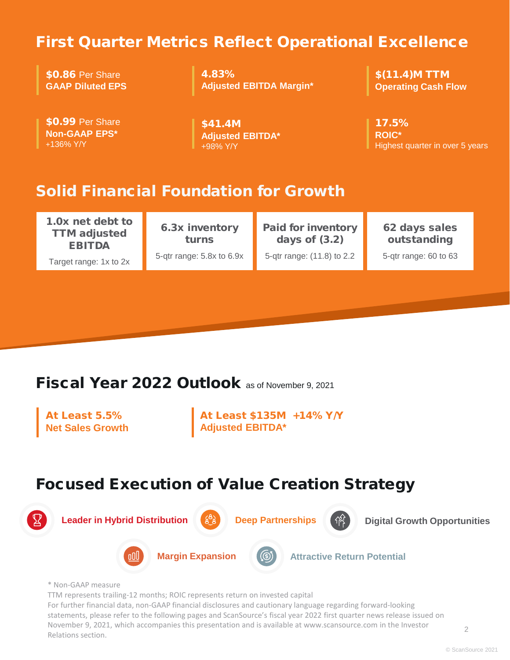# First Quarter Metrics Reflect Operational Excellence

**\$0.86 Per Share GAAP Diluted EPS**

\$0.99 Per Share **Non-GAAP EPS\***

+136% Y/Y

4.83% **Adjusted EBITDA Margin\***

\$41.4M **Adjusted EBITDA\***

+98% Y/Y

\$(11.4)M TTM **Operating Cash Flow**

17.5% **ROIC\*** Highest quarter in over 5 years

# Solid Financial Foundation for Growth

1.0x net debt to TTM adjusted EBITDA

Target range: 1x to 2x

6.3x inventory turns 5-qtr range: 5.8x to 6.9x

Paid for inventory days of (3.2) 5-qtr range: (11.8) to 2.2

62 days sales outstanding

5-qtr range: 60 to 63

# Fiscal Year 2022 Outlook as of November 9, 2021

At Least 5.5% **Net Sales Growth** At Least \$135M +14% Y/Y **Adjusted EBITDA\***

# Focused Execution of Value Creation Strategy



TTM represents trailing-12 months; ROIC represents return on invested capital

For further financial data, non-GAAP financial disclosures and cautionary language regarding forward-looking statements, please refer to the following pages and ScanSource's fiscal year 2022 first quarter news release issued on November 9, 2021, which accompanies this presentation and is available at www.scansource.com in the Investor Relations section.

2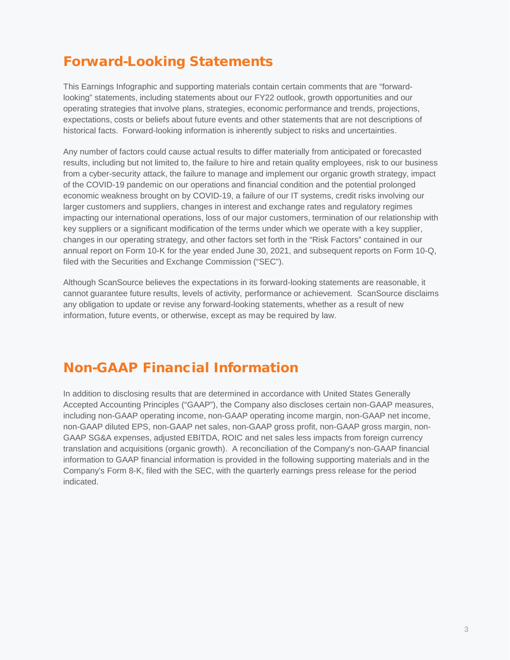# Forward-Looking Statements

This Earnings Infographic and supporting materials contain certain comments that are "forwardlooking" statements, including statements about our FY22 outlook, growth opportunities and our operating strategies that involve plans, strategies, economic performance and trends, projections, expectations, costs or beliefs about future events and other statements that are not descriptions of historical facts. Forward-looking information is inherently subject to risks and uncertainties.

Any number of factors could cause actual results to differ materially from anticipated or forecasted results, including but not limited to, the failure to hire and retain quality employees, risk to our business from a cyber-security attack, the failure to manage and implement our organic growth strategy, impact of the COVID-19 pandemic on our operations and financial condition and the potential prolonged economic weakness brought on by COVID-19, a failure of our IT systems, credit risks involving our larger customers and suppliers, changes in interest and exchange rates and regulatory regimes impacting our international operations, loss of our major customers, termination of our relationship with key suppliers or a significant modification of the terms under which we operate with a key supplier, changes in our operating strategy, and other factors set forth in the "Risk Factors" contained in our annual report on Form 10-K for the year ended June 30, 2021, and subsequent reports on Form 10-Q, filed with the Securities and Exchange Commission ("SEC").

Although ScanSource believes the expectations in its forward-looking statements are reasonable, it cannot guarantee future results, levels of activity, performance or achievement. ScanSource disclaims any obligation to update or revise any forward-looking statements, whether as a result of new information, future events, or otherwise, except as may be required by law.

# Non-GAAP Financial Information

In addition to disclosing results that are determined in accordance with United States Generally Accepted Accounting Principles ("GAAP"), the Company also discloses certain non-GAAP measures, including non-GAAP operating income, non-GAAP operating income margin, non-GAAP net income, non-GAAP diluted EPS, non-GAAP net sales, non-GAAP gross profit, non-GAAP gross margin, non-GAAP SG&A expenses, adjusted EBITDA, ROIC and net sales less impacts from foreign currency translation and acquisitions (organic growth). A reconciliation of the Company's non-GAAP financial information to GAAP financial information is provided in the following supporting materials and in the Company's Form 8-K, filed with the SEC, with the quarterly earnings press release for the period indicated.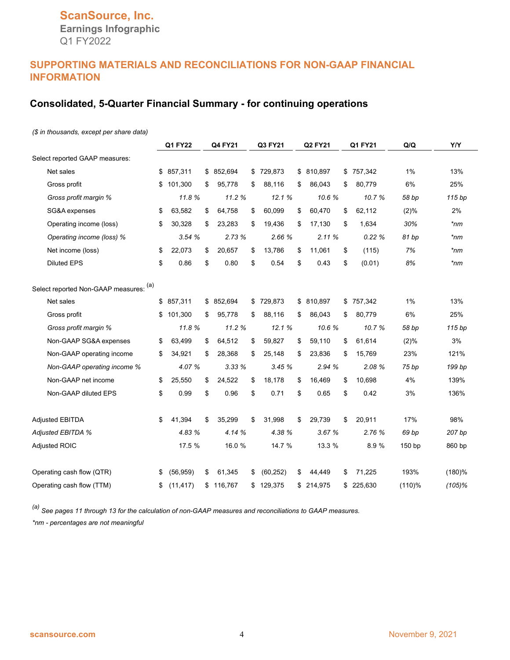# **ScanSource, Inc. Earnings Infographic**

Q1 FY2022

# **SUPPORTING MATERIALS AND RECONCILIATIONS FOR NON-GAAP FINANCIAL INFORMATION**

# **Consolidated, 5-Quarter Financial Summary - for continuing operations**

### *(\$ in thousands, except per share data)*

|                                        | <b>Q1 FY22</b>  | <b>Q4 FY21</b> | Q3 FY21         | <b>Q2 FY21</b> |            | Q1 FY21       | Q/Q    | Y/Y       |
|----------------------------------------|-----------------|----------------|-----------------|----------------|------------|---------------|--------|-----------|
| Select reported GAAP measures:         |                 |                |                 |                |            |               |        |           |
| Net sales                              | \$<br>857,311   | \$<br>852,694  | \$<br>729,873   | \$             | 810,897    | \$<br>757,342 | 1%     | 13%       |
| Gross profit                           | \$<br>101,300   | \$<br>95,778   | \$<br>88,116    | \$             | 86.043     | \$<br>80,779  | 6%     | 25%       |
| Gross profit margin %                  | 11.8%           | 11.2 %         | 12.1%           |                | 10.6%      | 10.7%         | 58 bp  | 115 bp    |
| SG&A expenses                          | \$<br>63,582    | \$<br>64,758   | \$<br>60,099    | \$             | 60,470     | \$<br>62,112  | (2)%   | 2%        |
| Operating income (loss)                | \$<br>30,328    | \$<br>23,283   | \$<br>19,436    | \$             | 17,130     | \$<br>1,634   | 30%    | $*_{nm}$  |
| Operating income (loss) %              | 3.54%           | 2.73%          | 2.66 %          |                | 2.11%      | 0.22%         | 81 bp  | *nm       |
| Net income (loss)                      | \$<br>22,073    | \$<br>20,657   | \$<br>13,786    | \$             | 11,061     | \$<br>(115)   | 7%     | *nm       |
| <b>Diluted EPS</b>                     | \$<br>0.86      | \$<br>0.80     | \$<br>0.54      | \$             | 0.43       | \$<br>(0.01)  | 8%     | $*_{nm}$  |
| Select reported Non-GAAP measures: (a) |                 |                |                 |                |            |               |        |           |
| Net sales                              | \$857,311       | \$ 852,694     | \$<br>729,873   |                | \$ 810,897 | \$<br>757,342 | 1%     | 13%       |
| Gross profit                           | \$<br>101,300   | \$<br>95,778   | \$<br>88,116    | \$             | 86,043     | \$<br>80,779  | 6%     | 25%       |
| Gross profit margin %                  | 11.8%           | 11.2%          | 12.1%           |                | 10.6%      | 10.7%         | 58 bp  | 115 bp    |
| Non-GAAP SG&A expenses                 | \$<br>63,499    | \$<br>64,512   | \$<br>59,827    | \$             | 59,110     | \$<br>61,614  | (2)%   | 3%        |
| Non-GAAP operating income              | \$<br>34,921    | \$<br>28,368   | \$<br>25,148    | \$             | 23,836     | \$<br>15,769  | 23%    | 121%      |
| Non-GAAP operating income %            | 4.07 %          | 3.33 %         | 3.45%           |                | 2.94 %     | 2.08 %        | 75 bp  | 199 bp    |
| Non-GAAP net income                    | \$<br>25,550    | \$<br>24,522   | \$<br>18,178    | \$             | 16,469     | \$<br>10,698  | 4%     | 139%      |
| Non-GAAP diluted EPS                   | \$<br>0.99      | \$<br>0.96     | \$<br>0.71      | \$             | 0.65       | \$<br>0.42    | 3%     | 136%      |
| <b>Adjusted EBITDA</b>                 | \$<br>41,394    | \$<br>35,299   | \$<br>31,998    | \$             | 29,739     | \$<br>20,911  | 17%    | 98%       |
| Adjusted EBITDA %                      | 4.83 %          | 4.14 %         | 4.38 %          |                | 3.67%      | 2.76 %        | 69 bp  | 207 bp    |
| <b>Adjusted ROIC</b>                   | 17.5 %          | 16.0 %         | 14.7 %          |                | 13.3 %     | 8.9%          | 150 bp | 860 bp    |
| Operating cash flow (QTR)              | \$<br>(56, 959) | \$<br>61,345   | \$<br>(60, 252) | \$             | 44,449     | \$<br>71,225  | 193%   | $(180)$ % |
| Operating cash flow (TTM)              | \$<br>(11, 417) | \$<br>116,767  | \$<br>129,375   | \$             | 214,975    | \$<br>225,630 | (110)% | $(105)$ % |

*(a) See pages 11 through 13 for the calculation of non-GAAP measures and reconciliations to GAAP measures. \*nm - percentages are not meaningful*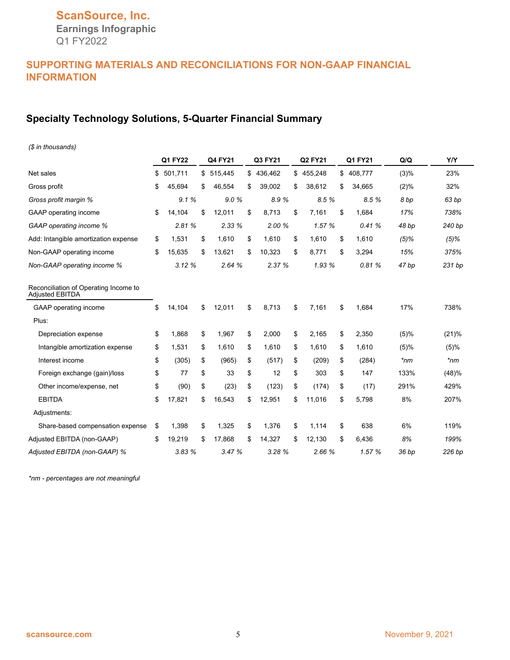**Earnings Infographic** Q1 FY2022

# **SUPPORTING MATERIALS AND RECONCILIATIONS FOR NON-GAAP FINANCIAL INFORMATION**

# **Specialty Technology Solutions, 5-Quarter Financial Summary**

| (\$ in thousands)                                               |               |               |    |         |     |                |               |         |            |
|-----------------------------------------------------------------|---------------|---------------|----|---------|-----|----------------|---------------|---------|------------|
|                                                                 | Q1 FY22       | Q4 FY21       |    | Q3 FY21 |     | <b>Q2 FY21</b> | Q1 FY21       | Q/Q     | <b>Y/Y</b> |
| Net sales                                                       | \$<br>501,711 | \$<br>515,445 | \$ | 436,462 |     | \$455,248      | \$<br>408,777 | (3)%    | 23%        |
| Gross profit                                                    | \$<br>45,694  | \$<br>46,554  | S  | 39,002  | \$. | 38,612         | \$<br>34,665  | (2)%    | 32%        |
| Gross profit margin %                                           | 9.1%          | 9.0%          |    | 8.9%    |     | 8.5 %          | 8.5%          | 8 bp    | 63 bp      |
| GAAP operating income                                           | \$<br>14,104  | \$<br>12,011  | \$ | 8,713   | \$  | 7,161          | \$<br>1,684   | 17%     | 738%       |
| GAAP operating income %                                         | 2.81%         | 2.33%         |    | 2.00 %  |     | 1.57 %         | 0.41%         | 48 bp   | 240 bp     |
| Add: Intangible amortization expense                            | \$<br>1,531   | \$<br>1,610   | \$ | 1,610   | \$  | 1,610          | \$<br>1,610   | $(5)\%$ | $(5)\%$    |
| Non-GAAP operating income                                       | \$<br>15,635  | \$<br>13,621  | \$ | 10,323  | \$  | 8,771          | \$<br>3,294   | 15%     | 375%       |
| Non-GAAP operating income %                                     | 3.12%         | 2.64%         |    | 2.37 %  |     | 1.93 %         | 0.81%         | 47 bp   | 231 bp     |
| Reconciliation of Operating Income to<br><b>Adjusted EBITDA</b> |               |               |    |         |     |                |               |         |            |
| GAAP operating income                                           | \$<br>14,104  | \$<br>12,011  | \$ | 8,713   | \$  | 7,161          | \$<br>1.684   | 17%     | 738%       |
| Plus:                                                           |               |               |    |         |     |                |               |         |            |
| Depreciation expense                                            | \$<br>1,868   | \$<br>1,967   | \$ | 2,000   | \$  | 2,165          | \$<br>2,350   | (5)%    | (21)%      |
| Intangible amortization expense                                 | \$<br>1,531   | \$<br>1,610   | \$ | 1,610   | \$  | 1,610          | \$<br>1,610   | (5)%    | (5)%       |
| Interest income                                                 | \$<br>(305)   | \$<br>(965)   | \$ | (517)   | \$  | (209)          | \$<br>(284)   | *nm     | $*_{nm}$   |
| Foreign exchange (gain)/loss                                    | \$<br>77      | \$<br>33      | \$ | 12      | \$  | 303            | \$<br>147     | 133%    | (48)%      |
| Other income/expense, net                                       | \$<br>(90)    | \$<br>(23)    | \$ | (123)   | \$  | (174)          | \$<br>(17)    | 291%    | 429%       |
| <b>EBITDA</b>                                                   | \$<br>17,821  | \$<br>16,543  | \$ | 12,951  | \$  | 11.016         | \$<br>5,798   | 8%      | 207%       |
| Adjustments:                                                    |               |               |    |         |     |                |               |         |            |
| Share-based compensation expense                                | \$<br>1,398   | \$<br>1,325   | \$ | 1,376   | \$  | 1.114          | \$<br>638     | 6%      | 119%       |
| Adjusted EBITDA (non-GAAP)                                      | \$<br>19,219  | \$<br>17,868  | \$ | 14,327  | \$  | 12,130         | \$<br>6,436   | 8%      | 199%       |
| Adjusted EBITDA (non-GAAP) %                                    | 3.83 %        | 3.47%         |    | 3.28 %  |     | 2.66 %         | 1.57 %        | 36 bp   | 226 bp     |

*\*nm - percentages are not meaningful*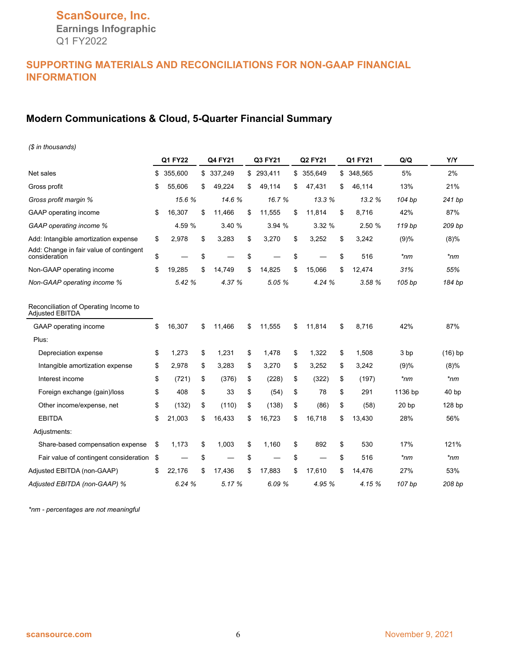**Earnings Infographic** Q1 FY2022

# **SUPPORTING MATERIALS AND RECONCILIATIONS FOR NON-GAAP FINANCIAL INFORMATION**

# **Modern Communications & Cloud, 5-Quarter Financial Summary**

| (\$ in thousands)                                        |               |               |              |              |              |                  |                  |
|----------------------------------------------------------|---------------|---------------|--------------|--------------|--------------|------------------|------------------|
|                                                          | Q1 FY22       | Q4 FY21       | Q3 FY21      | Q2 FY21      | Q1 FY21      | Q/Q              | <b>Y/Y</b>       |
| Net sales                                                | \$<br>355.600 | \$<br>337,249 | \$293,411    | \$ 355.649   | \$ 348,565   | 5%               | 2%               |
| Gross profit                                             | \$<br>55,606  | \$<br>49,224  | \$<br>49,114 | \$<br>47,431 | \$<br>46,114 | 13%              | 21%              |
| Gross profit margin %                                    | 15.6%         | 14.6%         | 16.7%        | 13.3 %       | 13.2 %       | 104 bp           | 241 bp           |
| <b>GAAP</b> operating income                             | \$<br>16,307  | \$<br>11,466  | \$<br>11,555 | \$<br>11,814 | \$<br>8.716  | 42%              | 87%              |
| GAAP operating income %                                  | 4.59 %        | 3.40%         | 3.94%        | 3.32%        | 2.50 %       | 119 bp           | 209 bp           |
| Add: Intangible amortization expense                     | \$<br>2,978   | \$<br>3,283   | \$<br>3,270  | \$<br>3,252  | \$<br>3,242  | (9)%             | $(8)\%$          |
| Add: Change in fair value of contingent<br>consideration | \$            | \$            | \$           | \$           | \$<br>516    | $*nm$            | $*nm$            |
| Non-GAAP operating income                                | \$<br>19.285  | \$<br>14.749  | \$<br>14.825 | \$<br>15,066 | \$<br>12.474 | 31%              | 55%              |
| Non-GAAP operating income %                              | 5.42 %        | 4.37 %        | 5.05 %       | 4.24 %       | 3.58 %       | 105 bp           | 184 bp           |
| Reconciliation of Operating Income to<br>Adjusted EBITDA |               |               |              |              |              |                  |                  |
| GAAP operating income                                    | \$<br>16,307  | \$<br>11,466  | \$<br>11,555 | \$<br>11,814 | \$<br>8,716  | 42%              | 87%              |
| Plus:                                                    |               |               |              |              |              |                  |                  |
| Depreciation expense                                     | \$<br>1,273   | \$<br>1,231   | \$<br>1,478  | \$<br>1,322  | \$<br>1,508  | 3 bp             | $(16)$ bp        |
| Intangible amortization expense                          | \$<br>2,978   | \$<br>3,283   | \$<br>3,270  | \$<br>3,252  | \$<br>3,242  | (9)%             | (8)%             |
| Interest income                                          | \$<br>(721)   | \$<br>(376)   | \$<br>(228)  | \$<br>(322)  | \$<br>(197)  | *nm              | *nm              |
| Foreign exchange (gain)/loss                             | \$<br>408     | \$<br>33      | \$<br>(54)   | \$<br>78     | \$<br>291    | 1136 bp          | 40 <sub>bp</sub> |
| Other income/expense, net                                | \$<br>(132)   | \$<br>(110)   | \$<br>(138)  | \$<br>(86)   | \$<br>(58)   | 20 <sub>bp</sub> | 128 bp           |
| <b>EBITDA</b>                                            | \$<br>21,003  | \$<br>16,433  | \$<br>16,723 | \$<br>16,718 | \$<br>13,430 | 28%              | 56%              |
| Adjustments:                                             |               |               |              |              |              |                  |                  |
| Share-based compensation expense                         | \$<br>1,173   | \$<br>1,003   | \$<br>1,160  | \$<br>892    | \$<br>530    | 17%              | 121%             |
| Fair value of contingent consideration                   | \$            | \$            | \$           | \$           | \$<br>516    | $*_{nm}$         | $*_{nm}$         |
| Adjusted EBITDA (non-GAAP)                               | \$<br>22,176  | \$<br>17,436  | \$<br>17,883 | \$<br>17,610 | \$<br>14,476 | 27%              | 53%              |
| Adjusted EBITDA (non-GAAP) %                             | 6.24 %        | 5.17 %        | 6.09%        | 4.95 %       | 4.15 %       | 107 bp           | 208 bp           |

*\*nm - percentages are not meaningful*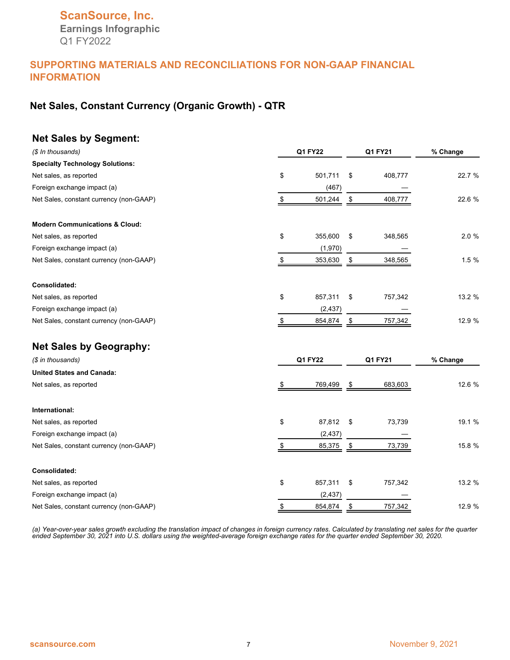# **ScanSource, Inc. Earnings Infographic** Q1 FY2022

### **SUPPORTING MATERIALS AND RECONCILIATIONS FOR NON-GAAP FINANCIAL INFORMATION**

# **Net Sales, Constant Currency (Organic Growth) - QTR**

### **Net Sales by Segment:**

| (\$ In thousands)                         |    | <b>Q1 FY22</b> | Q1 FY21       | % Change |  |
|-------------------------------------------|----|----------------|---------------|----------|--|
| <b>Specialty Technology Solutions:</b>    |    |                |               |          |  |
| Net sales, as reported                    | \$ | 501,711        | \$<br>408,777 | 22.7 %   |  |
| Foreign exchange impact (a)               |    | (467)          |               |          |  |
| Net Sales, constant currency (non-GAAP)   | \$ | 501,244        | \$<br>408,777 | 22.6 %   |  |
| <b>Modern Communications &amp; Cloud:</b> |    |                |               |          |  |
| Net sales, as reported                    | \$ | 355,600        | \$<br>348,565 | 2.0 %    |  |
| Foreign exchange impact (a)               |    | (1,970)        |               |          |  |
| Net Sales, constant currency (non-GAAP)   | \$ | 353,630        | \$<br>348,565 | 1.5%     |  |
| Consolidated:                             |    |                |               |          |  |
| Net sales, as reported                    | \$ | 857,311        | \$<br>757,342 | 13.2 %   |  |
| Foreign exchange impact (a)               |    | (2, 437)       |               |          |  |
| Net Sales, constant currency (non-GAAP)   | \$ | 854,874        | \$<br>757,342 | 12.9 %   |  |
| <b>Net Sales by Geography:</b>            |    |                |               |          |  |
| (\$ in thousands)                         |    | <b>Q1 FY22</b> | Q1 FY21       | % Change |  |
| <b>United States and Canada:</b>          |    |                |               |          |  |
| Net sales, as reported                    | \$ | 769,499        | \$<br>683,603 | 12.6 %   |  |
| International:                            |    |                |               |          |  |
| Net sales, as reported                    | \$ | 87,812         | \$<br>73,739  | 19.1 %   |  |
| Foreign exchange impact (a)               |    | (2, 437)       |               |          |  |
| Net Sales, constant currency (non-GAAP)   | S  | 85,375         | \$<br>73,739  | 15.8 %   |  |
| Consolidated:                             |    |                |               |          |  |
| Net sales, as reported                    | \$ | 857,311        | \$<br>757,342 | 13.2 %   |  |
| Foreign exchange impact (a)               |    | (2, 437)       |               |          |  |
| Net Sales, constant currency (non-GAAP)   | \$ | 854,874        | \$<br>757,342 | 12.9 %   |  |

*(a) Year-over-year sales growth excluding the translation impact of changes in foreign currency rates. Calculated by translating net sales for the quarter ended September 30, 2021 into U.S. dollars using the weighted-average foreign exchange rates for the quarter ended September 30, 2020.*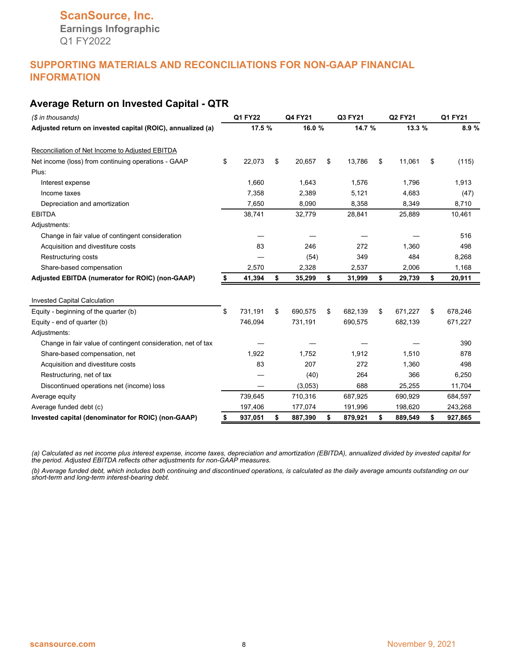### **Average Return on Invested Capital - QTR**

| (\$ in thousands)                                            | Q1 FY22 |         | Q4 FY21 | Q3 FY21 | Q2 FY21       |               | Q1 FY21 |         |
|--------------------------------------------------------------|---------|---------|---------|---------|---------------|---------------|---------|---------|
| Adjusted return on invested capital (ROIC), annualized (a)   |         | 17.5 %  |         | 16.0%   | 14.7 %        | 13.3 %        |         | 8.9 %   |
| Reconciliation of Net Income to Adjusted EBITDA              |         |         |         |         |               |               |         |         |
| Net income (loss) from continuing operations - GAAP          | \$      | 22,073  | \$      | 20,657  | \$<br>13,786  | \$<br>11,061  | \$      | (115)   |
| Plus:                                                        |         |         |         |         |               |               |         |         |
| Interest expense                                             |         | 1,660   |         | 1,643   | 1,576         | 1,796         |         | 1,913   |
| Income taxes                                                 |         | 7,358   |         | 2,389   | 5,121         | 4,683         |         | (47)    |
| Depreciation and amortization                                |         | 7,650   |         | 8,090   | 8,358         | 8,349         |         | 8,710   |
| <b>EBITDA</b>                                                |         | 38,741  |         | 32,779  | 28,841        | 25,889        |         | 10,461  |
| Adjustments:                                                 |         |         |         |         |               |               |         |         |
| Change in fair value of contingent consideration             |         |         |         |         |               |               |         | 516     |
| Acquisition and divestiture costs                            |         | 83      |         | 246     | 272           | 1.360         |         | 498     |
| Restructuring costs                                          |         |         |         | (54)    | 349           | 484           |         | 8,268   |
| Share-based compensation                                     |         | 2,570   |         | 2,328   | 2,537         | 2,006         |         | 1,168   |
| Adjusted EBITDA (numerator for ROIC) (non-GAAP)              | \$      | 41,394  | \$      | 35,299  | \$<br>31,999  | \$<br>29,739  | \$      | 20,911  |
| <b>Invested Capital Calculation</b>                          |         |         |         |         |               |               |         |         |
| Equity - beginning of the quarter (b)                        | \$      | 731,191 | \$      | 690,575 | \$<br>682,139 | \$<br>671,227 | \$      | 678,246 |
| Equity - end of quarter (b)                                  |         | 746,094 |         | 731,191 | 690,575       | 682,139       |         | 671,227 |
| Adjustments:                                                 |         |         |         |         |               |               |         |         |
| Change in fair value of contingent consideration, net of tax |         |         |         |         |               |               |         | 390     |
| Share-based compensation, net                                |         | 1.922   |         | 1.752   | 1,912         | 1,510         |         | 878     |
| Acquisition and divestiture costs                            |         | 83      |         | 207     | 272           | 1,360         |         | 498     |
| Restructuring, net of tax                                    |         |         |         | (40)    | 264           | 366           |         | 6,250   |
| Discontinued operations net (income) loss                    |         |         |         | (3,053) | 688           | 25,255        |         | 11,704  |
| Average equity                                               |         | 739,645 |         | 710,316 | 687,925       | 690,929       |         | 684,597 |
| Average funded debt (c)                                      |         | 197,406 |         | 177,074 | 191,996       | 198,620       |         | 243,268 |
| Invested capital (denominator for ROIC) (non-GAAP)           |         | 937,051 | \$      | 887,390 | \$<br>879,921 | \$<br>889,549 | \$      | 927,865 |

*(a) Calculated as net income plus interest expense, income taxes, depreciation and amortization (EBITDA), annualized divided by invested capital for the period. Adjusted EBITDA reflects other adjustments for non-GAAP measures.*

*(b) Average funded debt, which includes both continuing and discontinued operations, is calculated as the daily average amounts outstanding on our short-term and long-term interest-bearing debt.*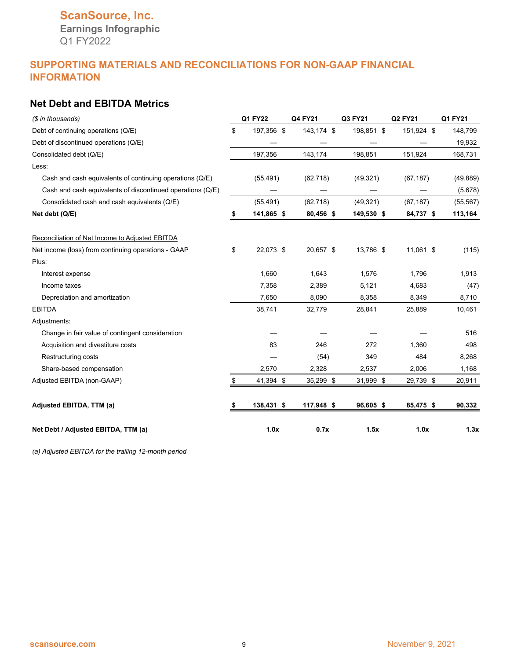**Earnings Infographic** Q1 FY2022

# **SUPPORTING MATERIALS AND RECONCILIATIONS FOR NON-GAAP FINANCIAL INFORMATION**

# **Net Debt and EBITDA Metrics**

| (\$ in thousands)                                          | <b>Q1 FY22</b>   | Q4 FY21    | Q3 FY21    | <b>Q2 FY21</b> | Q1 FY21   |
|------------------------------------------------------------|------------------|------------|------------|----------------|-----------|
| Debt of continuing operations (Q/E)                        | \$<br>197,356 \$ | 143,174 \$ | 198,851 \$ | 151,924 \$     | 148,799   |
| Debt of discontinued operations (Q/E)                      |                  |            |            |                | 19,932    |
| Consolidated debt (Q/E)                                    | 197,356          | 143,174    | 198,851    | 151,924        | 168,731   |
| Less:                                                      |                  |            |            |                |           |
| Cash and cash equivalents of continuing operations (Q/E)   | (55, 491)        | (62, 718)  | (49, 321)  | (67, 187)      | (49, 889) |
| Cash and cash equivalents of discontinued operations (Q/E) |                  |            |            |                | (5,678)   |
| Consolidated cash and cash equivalents (Q/E)               | (55, 491)        | (62, 718)  | (49, 321)  | (67, 187)      | (55, 567) |
| Net debt (Q/E)                                             | \$<br>141,865 \$ | 80,456 \$  | 149,530 \$ | 84,737 \$      | 113,164   |
| Reconciliation of Net Income to Adjusted EBITDA            |                  |            |            |                |           |
| Net income (loss) from continuing operations - GAAP        | \$<br>22,073 \$  | 20,657 \$  | 13,786 \$  | 11,061 \$      | (115)     |
| Plus:                                                      |                  |            |            |                |           |
| Interest expense                                           | 1,660            | 1,643      | 1,576      | 1,796          | 1,913     |
| Income taxes                                               | 7,358            | 2,389      | 5,121      | 4,683          | (47)      |
| Depreciation and amortization                              | 7,650            | 8,090      | 8,358      | 8,349          | 8,710     |
| <b>EBITDA</b>                                              | 38,741           | 32,779     | 28,841     | 25,889         | 10,461    |
| Adjustments:                                               |                  |            |            |                |           |
| Change in fair value of contingent consideration           |                  |            |            |                | 516       |
| Acquisition and divestiture costs                          | 83               | 246        | 272        | 1,360          | 498       |
| <b>Restructuring costs</b>                                 |                  | (54)       | 349        | 484            | 8,268     |
| Share-based compensation                                   | 2,570            | 2,328      | 2,537      | 2,006          | 1,168     |
| Adjusted EBITDA (non-GAAP)                                 | \$<br>41,394 \$  | 35,299 \$  | 31,999 \$  | 29,739 \$      | 20,911    |
| Adjusted EBITDA, TTM (a)                                   | 138,431 \$       | 117,948 \$ | 96,605 \$  | 85,475 \$      | 90,332    |
| Net Debt / Adjusted EBITDA, TTM (a)                        | 1.0x             | 0.7x       | 1.5x       | 1.0x           | 1.3x      |

*(a) Adjusted EBITDA for the trailing 12-month period*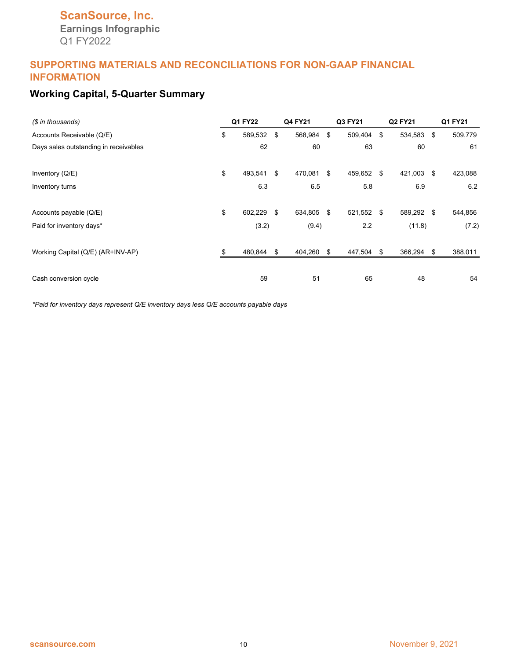# **ScanSource, Inc. Earnings Infographic** Q1 FY2022

### **SUPPORTING MATERIALS AND RECONCILIATIONS FOR NON-GAAP FINANCIAL INFORMATION**

# **Working Capital, 5-Quarter Summary**

| (\$ in thousands)                     | Q1 FY22          | Q4 FY21       |      | Q3 FY21 | Q2 FY21       |      | Q1 FY21 |
|---------------------------------------|------------------|---------------|------|---------|---------------|------|---------|
| Accounts Receivable (Q/E)             | \$<br>589,532 \$ | 568,984       | \$   | 509,404 | \$<br>534,583 | - \$ | 509,779 |
| Days sales outstanding in receivables | 62               | 60            |      | 63      | 60            |      | 61      |
| Inventory (Q/E)                       | \$<br>493,541    | \$<br>470,081 | \$   | 459,652 | \$<br>421,003 | \$   | 423,088 |
| Inventory turns                       | 6.3              | 6.5           |      | 5.8     | 6.9           |      | 6.2     |
| Accounts payable (Q/E)                | \$<br>602,229 \$ | 634,805       | - \$ | 521,552 | \$<br>589,292 | \$   | 544,856 |
| Paid for inventory days*              | (3.2)            | (9.4)         |      | 2.2     | (11.8)        |      | (7.2)   |
| Working Capital (Q/E) (AR+INV-AP)     | 480,844          | \$<br>404,260 | \$   | 447,504 | \$<br>366,294 | S    | 388,011 |
| Cash conversion cycle                 | 59               | 51            |      | 65      | 48            |      | 54      |

*\*Paid for inventory days represent Q/E inventory days less Q/E accounts payable days*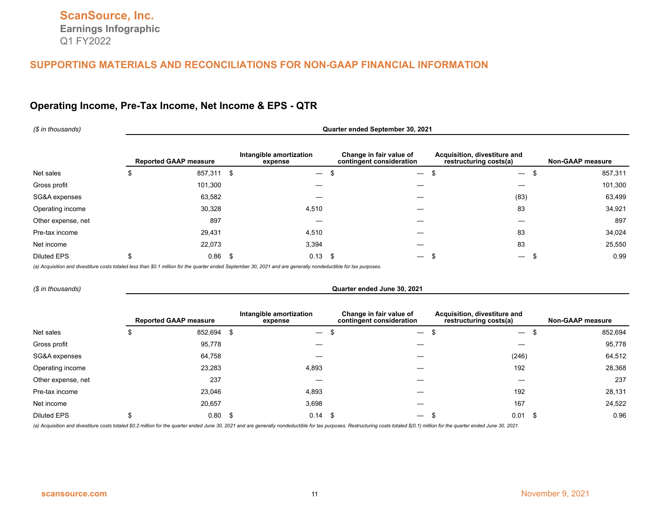### **Operating Income, Pre-Tax Income, Net Income & EPS - QTR**

| (\$ in thousands)  | Quarter ended September 30, 2021 |                              |                                    |                                                     |                                                        |                                      |                         |  |  |  |  |  |
|--------------------|----------------------------------|------------------------------|------------------------------------|-----------------------------------------------------|--------------------------------------------------------|--------------------------------------|-------------------------|--|--|--|--|--|
|                    |                                  | <b>Reported GAAP measure</b> | Intangible amortization<br>expense | Change in fair value of<br>contingent consideration | Acquisition, divestiture and<br>restructuring costs(a) |                                      | <b>Non-GAAP measure</b> |  |  |  |  |  |
| Net sales          | J                                | 857,311                      | -\$<br>$\overline{\phantom{m}}$    | S<br>$\overbrace{\phantom{13333}}$                  |                                                        | S<br>$\overline{\phantom{m}}$        | 857,311                 |  |  |  |  |  |
| Gross profit       |                                  | 101,300                      |                                    |                                                     |                                                        |                                      | 101,300                 |  |  |  |  |  |
| SG&A expenses      |                                  | 63,582                       |                                    |                                                     |                                                        | (83)                                 | 63,499                  |  |  |  |  |  |
| Operating income   |                                  | 30,328                       | 4,510                              |                                                     |                                                        | 83                                   | 34,921                  |  |  |  |  |  |
| Other expense, net |                                  | 897                          |                                    |                                                     |                                                        |                                      | 897                     |  |  |  |  |  |
| Pre-tax income     |                                  | 29,431                       | 4,510                              |                                                     |                                                        | 83                                   | 34,024                  |  |  |  |  |  |
| Net income         |                                  | 22,073                       | 3,394                              |                                                     |                                                        | 83                                   | 25,550                  |  |  |  |  |  |
| <b>Diluted EPS</b> | \$                               | 0.86                         | \$<br>$0.13$ \$                    | $\overline{\phantom{m}}$                            |                                                        | $\hspace{0.1mm}-\hspace{0.1mm}$<br>ъ | 0.99                    |  |  |  |  |  |

*(a) Acquisition and divestiture costs totaled less than \$0.1 million for the quarter ended September 30, 2021 and are generally nondeductible for tax purposes.*

*(\$ in thousands)* **Quarter ended June 30, 2021**

|                    | <b>Reported GAAP measure</b> |      | Intangible amortization<br>expense |      | Change in fair value of<br>contingent consideration | Acquisition, divestiture and<br>restructuring costs(a) |      | <b>Non-GAAP measure</b> |
|--------------------|------------------------------|------|------------------------------------|------|-----------------------------------------------------|--------------------------------------------------------|------|-------------------------|
| Net sales          | 852,694                      |      | $\overbrace{\phantom{13333}}$      | - 10 | $\overline{\phantom{0}}$                            | $\hspace{0.1mm}-\hspace{0.1mm}$                        |      | 852,694                 |
| Gross profit       | 95,778                       |      |                                    |      |                                                     |                                                        |      | 95,778                  |
| SG&A expenses      | 64,758                       |      |                                    |      |                                                     | (246)                                                  |      | 64,512                  |
| Operating income   | 23,283                       |      | 4,893                              |      |                                                     | 192                                                    |      | 28,368                  |
| Other expense, net | 237                          |      |                                    |      |                                                     |                                                        |      | 237                     |
| Pre-tax income     | 23,046                       |      | 4,893                              |      |                                                     | 192                                                    |      | 28,131                  |
| Net income         | 20,657                       |      | 3,698                              |      |                                                     | 167                                                    |      | 24,522                  |
| <b>Diluted EPS</b> | 0.80                         | - 71 | 0.14                               | - \$ | $\overline{\phantom{m}}$                            | 0.01                                                   | - \$ | 0.96                    |

(a) Acquisition and divestiture costs totaled \$0.2 million for the quarter ended June 30, 2021 and are generally nondeductible for tax purposes. Restructuring costs totaled \$(0.1) million for the quarter ended June 30, 202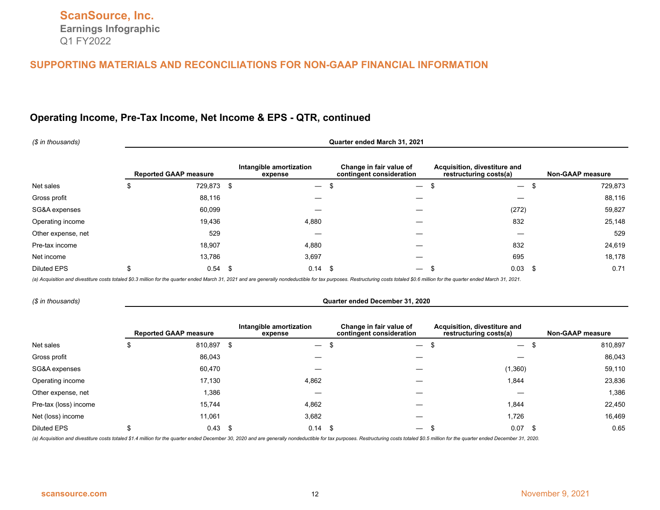# **Operating Income, Pre-Tax Income, Net Income & EPS - QTR, continued**

| (\$ in thousands)  | Quarter ended March 31, 2021 |                              |                                    |                                                     |                                                        |                         |  |  |  |  |  |  |
|--------------------|------------------------------|------------------------------|------------------------------------|-----------------------------------------------------|--------------------------------------------------------|-------------------------|--|--|--|--|--|--|
|                    |                              | <b>Reported GAAP measure</b> | Intangible amortization<br>expense | Change in fair value of<br>contingent consideration | Acquisition, divestiture and<br>restructuring costs(a) | <b>Non-GAAP measure</b> |  |  |  |  |  |  |
| Net sales          | \$                           | 729,873                      | -\$<br>$\overline{\phantom{m}}$    | -\$<br>$\overline{\phantom{m}}$                     | $\overline{\phantom{m}}$                               | 729,873<br>\$           |  |  |  |  |  |  |
| Gross profit       |                              | 88,116                       |                                    |                                                     |                                                        | 88,116                  |  |  |  |  |  |  |
| SG&A expenses      |                              | 60,099                       |                                    |                                                     | (272)                                                  | 59,827                  |  |  |  |  |  |  |
| Operating income   |                              | 19,436                       | 4,880                              |                                                     | 832                                                    | 25,148                  |  |  |  |  |  |  |
| Other expense, net |                              | 529                          |                                    |                                                     |                                                        | 529                     |  |  |  |  |  |  |
| Pre-tax income     |                              | 18,907                       | 4,880                              |                                                     | 832                                                    | 24,619                  |  |  |  |  |  |  |
| Net income         |                              | 13,786                       | 3,697                              |                                                     | 695                                                    | 18,178                  |  |  |  |  |  |  |
| <b>Diluted EPS</b> | \$                           | 0.54                         | $0.14$ \$<br>-\$                   | $\overline{\phantom{m}}$                            | 0.03                                                   | 0.71<br>\$              |  |  |  |  |  |  |

(a) Acquisition and divestiture costs totaled \$0.3 million for the quarter ended March 31, 2021 and are generally nondeductible for tax purposes. Restructuring costs totaled \$0.6 million for the quarter ended March 31, 202

#### *(\$ in thousands)* **Quarter ended December 31, 2020**

|                       | <b>Reported GAAP measure</b> |      | Intangible amortization<br>expense |      | Change in fair value of<br>contingent consideration | Acquisition, divestiture and<br>restructuring costs(a) | Non-GAAP measure |
|-----------------------|------------------------------|------|------------------------------------|------|-----------------------------------------------------|--------------------------------------------------------|------------------|
| Net sales             | 810,897                      | - 56 | $\overbrace{\phantom{13333}}$      | - 10 | $\hspace{0.1mm}-\hspace{0.1mm}$                     | $\hspace{0.1mm}-\hspace{0.1mm}$                        | 810,897          |
| Gross profit          | 86,043                       |      |                                    |      |                                                     |                                                        | 86,043           |
| SG&A expenses         | 60,470                       |      |                                    |      |                                                     | (1,360)                                                | 59,110           |
| Operating income      | 17,130                       |      | 4,862                              |      |                                                     | 1,844                                                  | 23,836           |
| Other expense, net    | 1,386                        |      |                                    |      |                                                     |                                                        | 1,386            |
| Pre-tax (loss) income | 15,744                       |      | 4,862                              |      |                                                     | 1,844                                                  | 22,450           |
| Net (loss) income     | 11,061                       |      | 3,682                              |      |                                                     | 1,726                                                  | 16,469           |
| <b>Diluted EPS</b>    | 0.43                         | - \$ | 0.14                               | - \$ |                                                     | 0.07                                                   | 0.65             |

(a) Acquisition and divestiture costs totaled \$1.4 million for the quarter ended December 30, 2020 and are generally nondeductible for tax purposes. Restructuring costs totaled \$0.5 million for the quarter ended December 3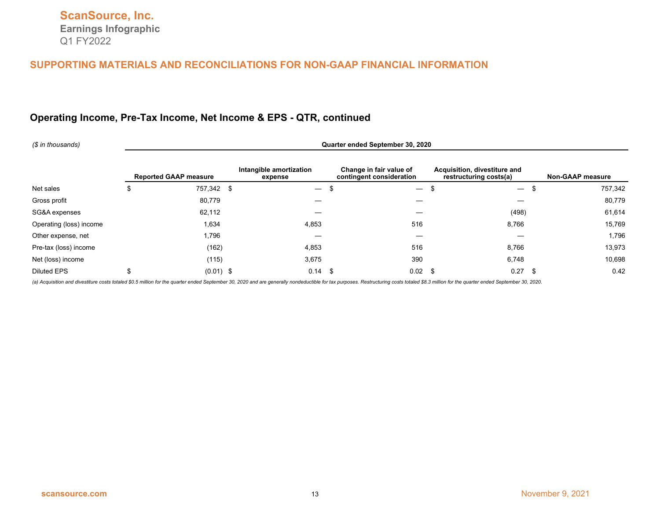# **Operating Income, Pre-Tax Income, Net Income & EPS - QTR, continued**

| (\$ in thousands)       | Quarter ended September 30, 2020 |                              |                                    |                                                     |                                                        |                         |  |  |  |  |
|-------------------------|----------------------------------|------------------------------|------------------------------------|-----------------------------------------------------|--------------------------------------------------------|-------------------------|--|--|--|--|
|                         |                                  | <b>Reported GAAP measure</b> | Intangible amortization<br>expense | Change in fair value of<br>contingent consideration | Acquisition, divestiture and<br>restructuring costs(a) | <b>Non-GAAP measure</b> |  |  |  |  |
| Net sales               | \$                               | 757,342 \$                   | $\overline{\phantom{m}}$           | -\$<br>$\overbrace{\phantom{13333}}$                | $\overline{\phantom{m}}$                               | 757,342<br>\$           |  |  |  |  |
| Gross profit            |                                  | 80,779                       |                                    |                                                     |                                                        | 80,779                  |  |  |  |  |
| SG&A expenses           |                                  | 62,112                       |                                    |                                                     | (498)                                                  | 61,614                  |  |  |  |  |
| Operating (loss) income |                                  | 1,634                        | 4,853                              | 516                                                 | 8,766                                                  | 15,769                  |  |  |  |  |
| Other expense, net      |                                  | 1,796                        |                                    |                                                     |                                                        | 1,796                   |  |  |  |  |
| Pre-tax (loss) income   |                                  | (162)                        | 4,853                              | 516                                                 | 8,766                                                  | 13,973                  |  |  |  |  |
| Net (loss) income       |                                  | (115)                        | 3,675                              | 390                                                 | 6,748                                                  | 10,698                  |  |  |  |  |
| <b>Diluted EPS</b>      | \$                               | $(0.01)$ \$                  | $0.14$ \$                          | 0.02                                                | 0.27                                                   | 0.42<br>- \$            |  |  |  |  |

(a) Acquisition and divestiture costs totaled \$0.5 million for the quarter ended September 30, 2020 and are generally nondeductible for tax purposes. Restructuring costs totaled \$8.3 million for the quarter ended September